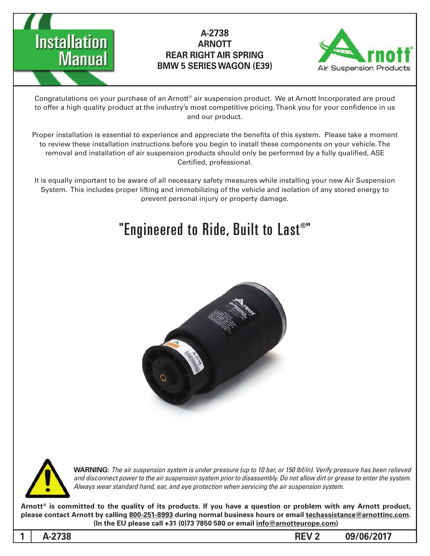



Congratulations on your purchase of an Arnott® air suspension product. We at Arnott Incorporated are proud to offer a high quality product at the industry's most competitive pricing. Thank you for your confidence in us and our product.

Proper installation is essential to experience and appreciate the benefits of this system. Please take a moment to review these installation instructions before you begin to install these components on your vehicle. The removal and installation of air suspension products should only be performed by a fully qualified, ASE Certified, professional.

It is equally important to be aware of all necessary safety measures while installing your new Air Suspension System. This includes proper lifting and immobilizing of the vehicle and isolation of any stored energy to prevent personal injury or property damage.

# "Engineered to Ride, Built to Last®"





*WARNING: The air suspension system is under pressure (up to 10 bar, or 150 lbf/in). Verify pressure has been relieved* and disconnect power to the air suspension system prior to disassembly. Do not allow dirt or grease to enter the system. Always wear standard hand, ear, and eye protection when servicing the air suspension system.

Arnott<sup>®</sup> is committed to the quality of its products. If you have a question or problem with any Arnott product, please contact Arnott by calling 800-251-8993 during normal business hours or email techassistance@arnottinc.com. (In the EU please call +31 (0)73 7850 580 or email info@arnotteurope.com)

**1**  $\mathsf{REV\,2}$  **1**  $\mathsf{REV\,2}$  **1**  $\mathsf{O}9/06/2017$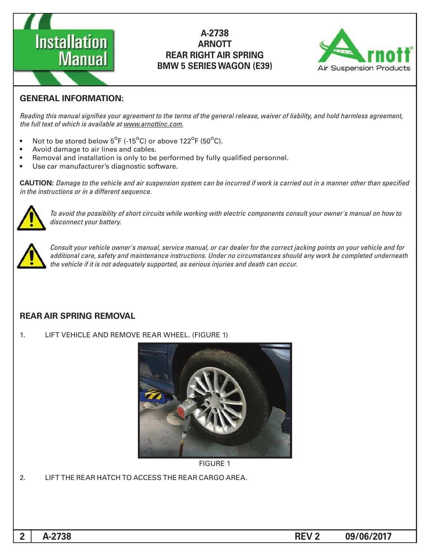



# **GENERAL INFORMATION:**

Reading this manual signifies your agreement to the terms of the general release, waiver of liability, and hold harmless agreement, the full text of which is available at www.arnottinc.com.

- Not to be stored below  $5^{\circ}$ F (-15 $^{\circ}$ C) or above 122 $^{\circ}$ F (50 $^{\circ}$ C).
- Avoid damage to air lines and cables.
- Removal and installation is only to be performed by fully qualified personnel.
- Use car manufacturer's diagnostic software.

**CAUTION:** Damage to the vehicle and air suspension system can be incurred if work is carried out in a manner other than specified *in the instructions or in a different sequence.* 



 *to how on manual s'owner your consult components electric with working while circuits short of possibility the avoid To* disconnect your battery.



*Consult your vehicle owner's manual, service manual, or car dealer for the correct jacking points on your vehicle and for* additional care, safety and maintenance instructions. Under no circumstances should any work be completed underneath the vehicle if it is not adequately supported, as serious injuries and death can occur.

#### **REAR AIR SPRING REMOVAL**

1. LIFT VEHICLE AND REMOVE REAR WHEEL. (FIGURE 1)



**FIGURE 1** 

2. LIFT THE REAR HATCH TO ACCESS THE REAR CARGO AREA.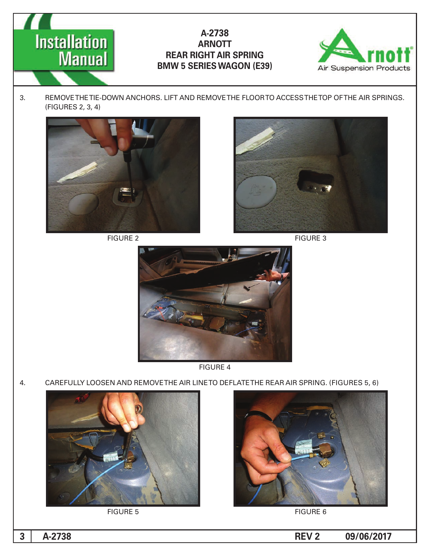



3. REMOVE THE TIE-DOWN ANCHORS. LIFT AND REMOVE THE FLOOR TO ACCESS THE TOP OF THE AIR SPRINGS. (FIGURES 2, 3, 4)



2 FIGURE



**FIGURE 3** 



4 FIGURE

4. CAREFULLY LOOSEN AND REMOVETHE AIR LINETO DEFLATETHE REAR AIR SPRING. (FIGURES 5, 6)



**FIGURE 5** 



**FIGURE 6**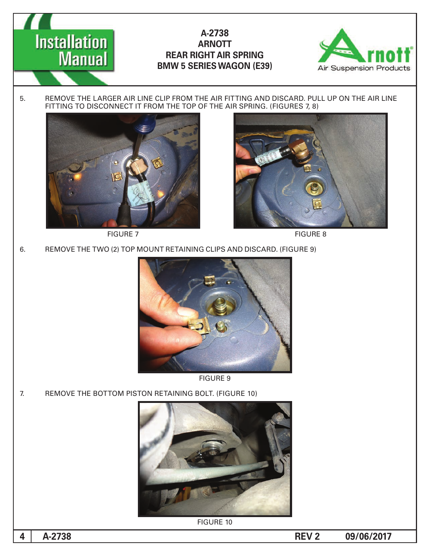



5. REMOVE THE LARGER AIR LINE CLIP FROM THE AIR FITTING AND DISCARD. PULL UP ON THE AIR LINE FITTING TO DISCONNECT IT FROM THE TOP OF THE AIR SPRING. (FIGURES 7, 8)







6. REMOVE THE TWO (2) TOP MOUNT RETAINING CLIPS AND DISCARD. (FIGURE 9)



**FIGURE 9** 

7. REMOVE THE BOTTOM PISTON RETAINING BOLT. (FIGURE 10)



**FIGURE 10**